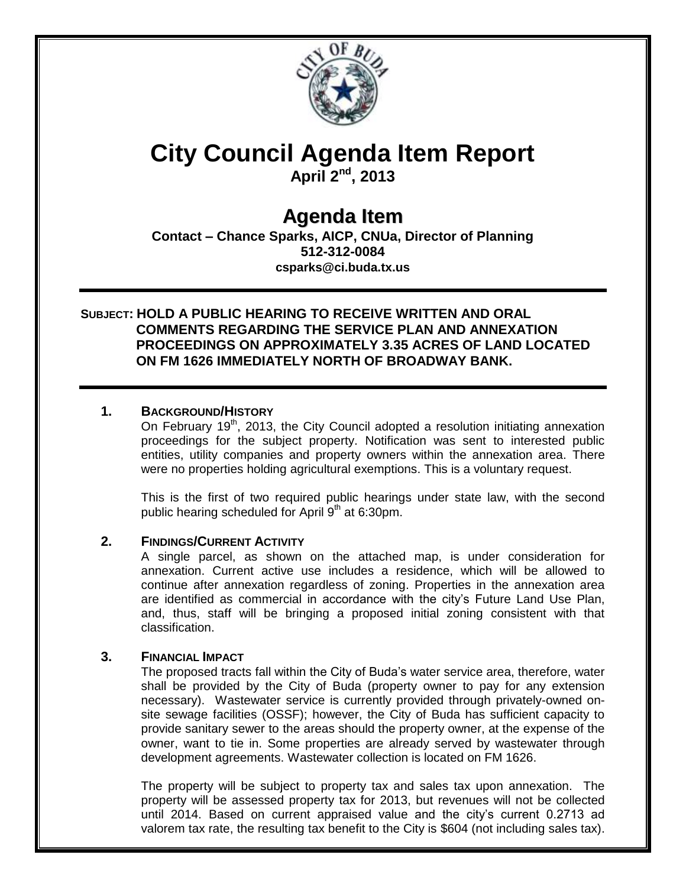

# **City Council Agenda Item Report**

**April 2nd, 2013**

# **Agenda Item**

**Contact – Chance Sparks, AICP, CNUa, Director of Planning 512-312-0084 csparks@ci.buda.tx.us**

# **SUBJECT: HOLD A PUBLIC HEARING TO RECEIVE WRITTEN AND ORAL COMMENTS REGARDING THE SERVICE PLAN AND ANNEXATION PROCEEDINGS ON APPROXIMATELY 3.35 ACRES OF LAND LOCATED ON FM 1626 IMMEDIATELY NORTH OF BROADWAY BANK.**

# **1. BACKGROUND/HISTORY**

On February 19<sup>th</sup>, 2013, the City Council adopted a resolution initiating annexation proceedings for the subject property. Notification was sent to interested public entities, utility companies and property owners within the annexation area. There were no properties holding agricultural exemptions. This is a voluntary request.

This is the first of two required public hearings under state law, with the second public hearing scheduled for April  $9<sup>th</sup>$  at 6:30pm.

#### **2. FINDINGS/CURRENT ACTIVITY**

A single parcel, as shown on the attached map, is under consideration for annexation. Current active use includes a residence, which will be allowed to continue after annexation regardless of zoning. Properties in the annexation area are identified as commercial in accordance with the city's Future Land Use Plan, and, thus, staff will be bringing a proposed initial zoning consistent with that classification.

#### **3. FINANCIAL IMPACT**

The proposed tracts fall within the City of Buda's water service area, therefore, water shall be provided by the City of Buda (property owner to pay for any extension necessary). Wastewater service is currently provided through privately-owned onsite sewage facilities (OSSF); however, the City of Buda has sufficient capacity to provide sanitary sewer to the areas should the property owner, at the expense of the owner, want to tie in. Some properties are already served by wastewater through development agreements. Wastewater collection is located on FM 1626.

The property will be subject to property tax and sales tax upon annexation. The property will be assessed property tax for 2013, but revenues will not be collected until 2014. Based on current appraised value and the city's current 0.2713 ad valorem tax rate, the resulting tax benefit to the City is \$604 (not including sales tax).